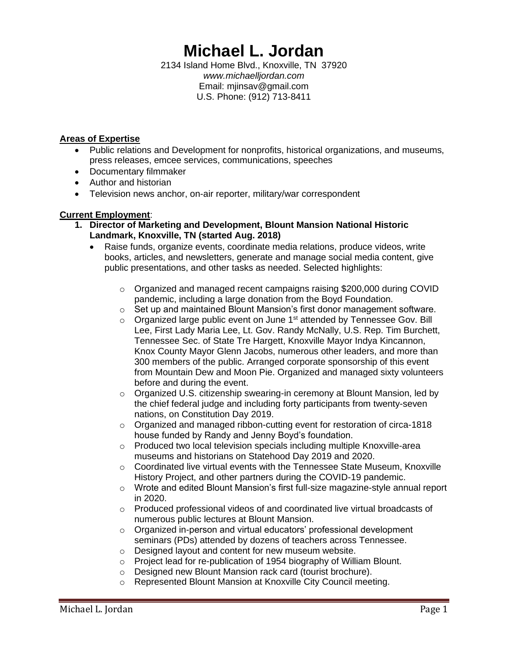# **Michael L. Jordan**

2134 Island Home Blvd., Knoxville, TN 37920 *www.michaelljordan.com* Email: mjinsav@gmail.com U.S. Phone: (912) 713-8411

#### **Areas of Expertise**

- Public relations and Development for nonprofits, historical organizations, and museums, press releases, emcee services, communications, speeches
- Documentary filmmaker
- Author and historian
- Television news anchor, on-air reporter, military/war correspondent

# **Current Employment**:

- **1. Director of Marketing and Development, Blount Mansion National Historic Landmark, Knoxville, TN (started Aug. 2018)**
	- Raise funds, organize events, coordinate media relations, produce videos, write books, articles, and newsletters, generate and manage social media content, give public presentations, and other tasks as needed. Selected highlights:
		- o Organized and managed recent campaigns raising \$200,000 during COVID pandemic, including a large donation from the Boyd Foundation.
		- $\circ$  Set up and maintained Blount Mansion's first donor management software.
		- $\circ$  Organized large public event on June 1<sup>st</sup> attended by Tennessee Gov. Bill Lee, First Lady Maria Lee, Lt. Gov. Randy McNally, U.S. Rep. Tim Burchett, Tennessee Sec. of State Tre Hargett, Knoxville Mayor Indya Kincannon, Knox County Mayor Glenn Jacobs, numerous other leaders, and more than 300 members of the public. Arranged corporate sponsorship of this event from Mountain Dew and Moon Pie. Organized and managed sixty volunteers before and during the event.
		- $\circ$  Organized U.S. citizenship swearing-in ceremony at Blount Mansion, led by the chief federal judge and including forty participants from twenty-seven nations, on Constitution Day 2019.
		- $\circ$  Organized and managed ribbon-cutting event for restoration of circa-1818 house funded by Randy and Jenny Boyd's foundation.
		- o Produced two local television specials including multiple Knoxville-area museums and historians on Statehood Day 2019 and 2020.
		- $\circ$  Coordinated live virtual events with the Tennessee State Museum, Knoxville History Project, and other partners during the COVID-19 pandemic.
		- o Wrote and edited Blount Mansion's first full-size magazine-style annual report in 2020.
		- $\circ$  Produced professional videos of and coordinated live virtual broadcasts of numerous public lectures at Blount Mansion.
		- o Organized in-person and virtual educators' professional development seminars (PDs) attended by dozens of teachers across Tennessee.
		- o Designed layout and content for new museum website.
		- o Project lead for re-publication of 1954 biography of William Blount.
		- o Designed new Blount Mansion rack card (tourist brochure).
		- o Represented Blount Mansion at Knoxville City Council meeting.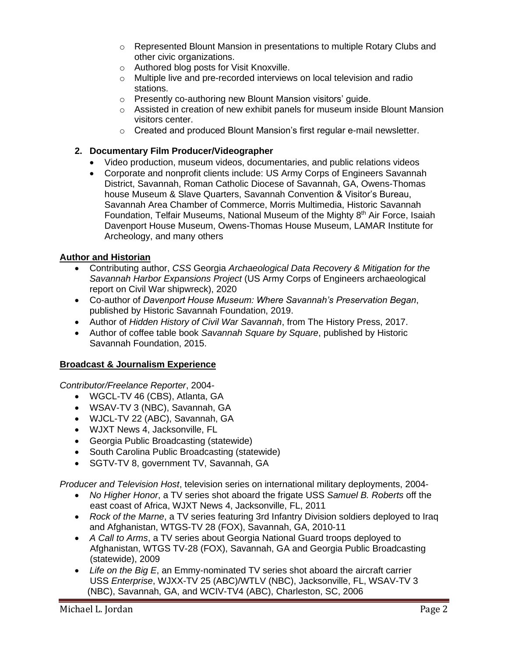- o Represented Blount Mansion in presentations to multiple Rotary Clubs and other civic organizations.
- o Authored blog posts for Visit Knoxville.
- o Multiple live and pre-recorded interviews on local television and radio stations.
- o Presently co-authoring new Blount Mansion visitors' guide.
- o Assisted in creation of new exhibit panels for museum inside Blount Mansion visitors center.
- o Created and produced Blount Mansion's first regular e-mail newsletter.

#### **2. Documentary Film Producer/Videographer**

- Video production, museum videos, documentaries, and public relations videos
- Corporate and nonprofit clients include: US Army Corps of Engineers Savannah District, Savannah, Roman Catholic Diocese of Savannah, GA, Owens-Thomas house Museum & Slave Quarters, Savannah Convention & Visitor's Bureau, Savannah Area Chamber of Commerce, Morris Multimedia, Historic Savannah Foundation, Telfair Museums, National Museum of the Mighty 8<sup>th</sup> Air Force, Isaiah Davenport House Museum, Owens-Thomas House Museum, LAMAR Institute for Archeology, and many others

# **Author and Historian**

- Contributing author, *CSS* Georgia *Archaeological Data Recovery & Mitigation for the Savannah Harbor Expansions Project* (US Army Corps of Engineers archaeological report on Civil War shipwreck), 2020
- Co-author of *Davenport House Museum: Where Savannah's Preservation Began*, published by Historic Savannah Foundation, 2019.
- Author of *Hidden History of Civil War Savannah*, from The History Press, 2017.
- Author of coffee table book *Savannah Square by Square*, published by Historic Savannah Foundation, 2015.

#### **Broadcast & Journalism Experience**

*Contributor/Freelance Reporter*, 2004-

- WGCL-TV 46 (CBS), Atlanta, GA
- WSAV-TV 3 (NBC), Savannah, GA
- WJCL-TV 22 (ABC), Savannah, GA
- WJXT News 4, Jacksonville, FL
- Georgia Public Broadcasting (statewide)
- South Carolina Public Broadcasting (statewide)
- SGTV-TV 8, government TV, Savannah, GA

*Producer and Television Host*, television series on international military deployments, 2004-

- *No Higher Honor*, a TV series shot aboard the frigate USS *Samuel B. Roberts* off the east coast of Africa, WJXT News 4, Jacksonville, FL, 2011
- *Rock of the Marne*, a TV series featuring 3rd Infantry Division soldiers deployed to Iraq and Afghanistan, WTGS-TV 28 (FOX), Savannah, GA, 2010-11
- *A Call to Arms*, a TV series about Georgia National Guard troops deployed to Afghanistan, WTGS TV-28 (FOX), Savannah, GA and Georgia Public Broadcasting (statewide), 2009
- *Life on the Big E*, an Emmy-nominated TV series shot aboard the aircraft carrier USS *Enterprise*, WJXX-TV 25 (ABC)/WTLV (NBC), Jacksonville, FL, WSAV-TV 3 (NBC), Savannah, GA, and WCIV-TV4 (ABC), Charleston, SC, 2006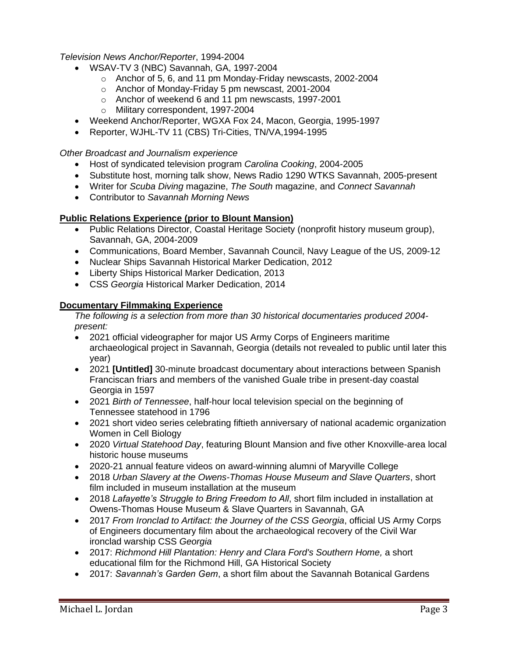# *Television News Anchor/Reporter*, 1994-2004

- WSAV-TV 3 (NBC) Savannah, GA, 1997-2004
	- o Anchor of 5, 6, and 11 pm Monday-Friday newscasts, 2002-2004
	- o Anchor of Monday-Friday 5 pm newscast, 2001-2004
	- o Anchor of weekend 6 and 11 pm newscasts, 1997-2001
	- o Military correspondent, 1997-2004
- Weekend Anchor/Reporter, WGXA Fox 24, Macon, Georgia, 1995-1997
- Reporter, WJHL-TV 11 (CBS) Tri-Cities, TN/VA,1994-1995

#### *Other Broadcast and Journalism experience*

- Host of syndicated television program *Carolina Cooking*, 2004-2005
- Substitute host, morning talk show, News Radio 1290 WTKS Savannah, 2005-present
- Writer for *Scuba Diving* magazine, *The South* magazine, and *Connect Savannah*
- Contributor to *Savannah Morning News*

# **Public Relations Experience (prior to Blount Mansion)**

- Public Relations Director, Coastal Heritage Society (nonprofit history museum group), Savannah, GA, 2004-2009
- Communications, Board Member, Savannah Council, Navy League of the US, 2009-12
- Nuclear Ships Savannah Historical Marker Dedication, 2012
- Liberty Ships Historical Marker Dedication, 2013
- CSS *Georgia* Historical Marker Dedication, 2014

#### **Documentary Filmmaking Experience**

*The following is a selection from more than 30 historical documentaries produced 2004 present:*

- 2021 official videographer for major US Army Corps of Engineers maritime archaeological project in Savannah, Georgia (details not revealed to public until later this year)
- 2021 **[Untitled]** 30-minute broadcast documentary about interactions between Spanish Franciscan friars and members of the vanished Guale tribe in present-day coastal Georgia in 1597
- 2021 *Birth of Tennessee*, half-hour local television special on the beginning of Tennessee statehood in 1796
- 2021 short video series celebrating fiftieth anniversary of national academic organization Women in Cell Biology
- 2020 *Virtual Statehood Day*, featuring Blount Mansion and five other Knoxville-area local historic house museums
- 2020-21 annual feature videos on award-winning alumni of Maryville College
- 2018 *Urban Slavery at the Owens-Thomas House Museum and Slave Quarters*, short film included in museum installation at the museum
- 2018 *Lafayette's Struggle to Bring Freedom to All*, short film included in installation at Owens-Thomas House Museum & Slave Quarters in Savannah, GA
- 2017 *From Ironclad to Artifact: the Journey of the CSS Georgia*, official US Army Corps of Engineers documentary film about the archaeological recovery of the Civil War ironclad warship CSS *Georgia*
- 2017: *Richmond Hill Plantation: Henry and Clara Ford's Southern Home, a short* educational film for the Richmond Hill, GA Historical Society
- 2017: *Savannah's Garden Gem*, a short film about the Savannah Botanical Gardens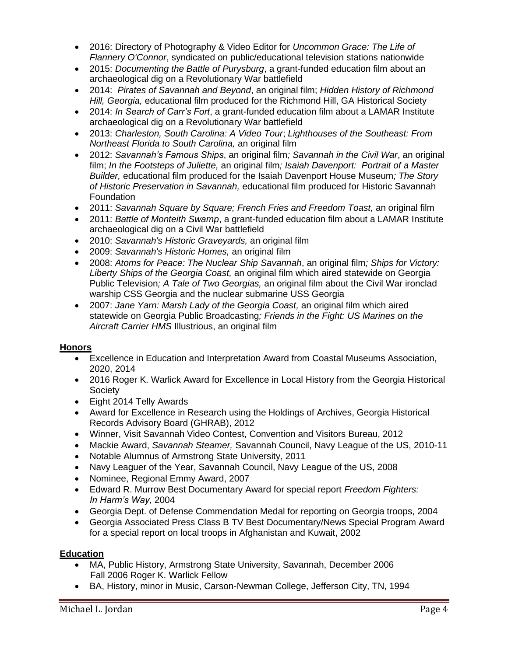- 2016: Directory of Photography & Video Editor for *Uncommon Grace: The Life of Flannery O'Connor*, syndicated on public/educational television stations nationwide
- 2015: *Documenting the Battle of Purysburg*, a grant-funded education film about an archaeological dig on a Revolutionary War battlefield
- 2014: *Pirates of Savannah and Beyond*, an original film; *Hidden History of Richmond Hill, Georgia,* educational film produced for the Richmond Hill, GA Historical Society
- 2014: *In Search of Carr's Fort*, a grant-funded education film about a LAMAR Institute archaeological dig on a Revolutionary War battlefield
- 2013: *Charleston, South Carolina: A Video Tour*; *Lighthouses of the Southeast: From Northeast Florida to South Carolina,* an original film
- 2012: *Savannah's Famous Ships*, an original film*; Savannah in the Civil War*, an original film; *In the Footsteps of Juliette,* an original film*; Isaiah Davenport: Portrait of a Master Builder,* educational film produced for the Isaiah Davenport House Museum*; The Story of Historic Preservation in Savannah,* educational film produced for Historic Savannah **Foundation**
- 2011: *Savannah Square by Square; French Fries and Freedom Toast,* an original film
- 2011: *Battle of Monteith Swamp*, a grant-funded education film about a LAMAR Institute archaeological dig on a Civil War battlefield
- 2010: *Savannah's Historic Graveyards,* an original film
- 2009: *Savannah's Historic Homes,* an original film
- 2008: *Atoms for Peace: The Nuclear Ship Savannah*, an original film*; Ships for Victory: Liberty Ships of the Georgia Coast,* an original film which aired statewide on Georgia Public Television*; A Tale of Two Georgias,* an original film about the Civil War ironclad warship CSS Georgia and the nuclear submarine USS Georgia
- 2007: *Jane Yarn: Marsh Lady of the Georgia Coast,* an original film which aired statewide on Georgia Public Broadcasting*; Friends in the Fight: US Marines on the Aircraft Carrier HMS* Illustrious, an original film

#### **Honors**

- Excellence in Education and Interpretation Award from Coastal Museums Association, 2020, 2014
- 2016 Roger K. Warlick Award for Excellence in Local History from the Georgia Historical **Society**
- Eight 2014 Telly Awards
- Award for Excellence in Research using the Holdings of Archives, Georgia Historical Records Advisory Board (GHRAB), 2012
- Winner, Visit Savannah Video Contest, Convention and Visitors Bureau, 2012
- Mackie Award, *Savannah Steamer,* Savannah Council, Navy League of the US, 2010-11
- Notable Alumnus of Armstrong State University, 2011
- Navy Leaguer of the Year, Savannah Council, Navy League of the US, 2008
- Nominee, Regional Emmy Award, 2007
- Edward R. Murrow Best Documentary Award for special report *Freedom Fighters: In Harm's Way*, 2004
- Georgia Dept. of Defense Commendation Medal for reporting on Georgia troops, 2004
- Georgia Associated Press Class B TV Best Documentary/News Special Program Award for a special report on local troops in Afghanistan and Kuwait, 2002

# **Education**

- MA, Public History, Armstrong State University, Savannah, December 2006 Fall 2006 Roger K. Warlick Fellow
- BA, History, minor in Music, Carson-Newman College, Jefferson City, TN, 1994